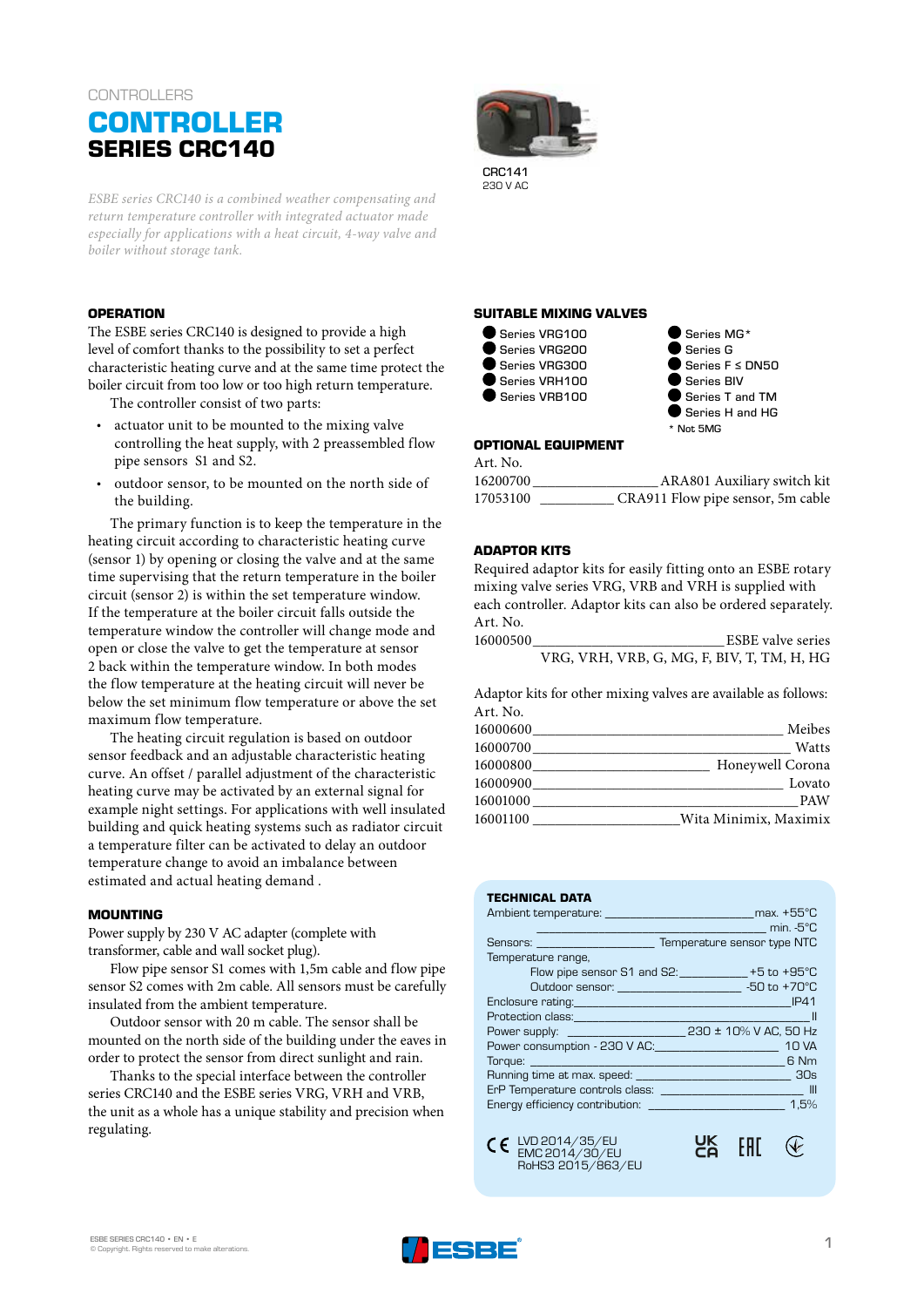# **CONTROLLERS CONTROLLER SERIES CRC140**

*ESBE series CRC140 is a combined weather compensating and return temperature controller with integrated actuator made especially for applications with a heat circuit, 4-way valve and boiler without storage tank.* 

## **OPERATION**

The ESBE series CRC140 is designed to provide a high level of comfort thanks to the possibility to set a perfect characteristic heating curve and at the same time protect the boiler circuit from too low or too high return temperature.

The controller consist of two parts:

- actuator unit to be mounted to the mixing valve controlling the heat supply, with 2 preassembled flow pipe sensors S1 and S2.
- outdoor sensor, to be mounted on the north side of the building.

The primary function is to keep the temperature in the heating circuit according to characteristic heating curve (sensor 1) by opening or closing the valve and at the same time supervising that the return temperature in the boiler circuit (sensor 2) is within the set temperature window. If the temperature at the boiler circuit falls outside the temperature window the controller will change mode and open or close the valve to get the temperature at sensor 2 back within the temperature window. In both modes the flow temperature at the heating circuit will never be below the set minimum flow temperature or above the set maximum flow temperature.

The heating circuit regulation is based on outdoor sensor feedback and an adjustable characteristic heating curve. An offset / parallel adjustment of the characteristic heating curve may be activated by an external signal for example night settings. For applications with well insulated building and quick heating systems such as radiator circuit a temperature filter can be activated to delay an outdoor temperature change to avoid an imbalance between estimated and actual heating demand .

#### **MOUNTING**

Power supply by 230 V AC adapter (complete with transformer, cable and wall socket plug).

Flow pipe sensor S1 comes with 1,5m cable and flow pipe sensor S2 comes with 2m cable. All sensors must be carefully insulated from the ambient temperature.

Outdoor sensor with 20 m cable. The sensor shall be mounted on the north side of the building under the eaves in order to protect the sensor from direct sunlight and rain.

Thanks to the special interface between the controller series CRC140 and the ESBE series VRG, VRH and VRB, the unit as a whole has a unique stability and precision when regulating.



230 V AC

## **SUITABLE MIXING VALVES**



● Series MG\* Series G Series F ≤ DN50 Series BIV Series T and TM Series H and HG \* Not 5MG

#### **OPTIONAL EQUIPMENT**

Art. No. 16200700 \_\_\_\_\_\_\_\_\_\_\_\_\_\_\_\_\_ARA801 Auxiliary switch kit 17053100 \_\_\_\_\_\_\_\_\_\_ CRA911 Flow pipe sensor, 5m cable

## **ADAPTOR KITS**

Required adaptor kits for easily fitting onto an ESBE rotary mixing valve series VRG, VRB and VRH is supplied with each controller. Adaptor kits can also be ordered separately. Art. No.

16000500\_\_\_\_\_\_\_\_\_\_\_\_\_\_\_\_\_\_\_\_\_\_\_\_\_\_ESBE valve series VRG, VRH, VRB, G, MG, F, BIV, T, TM, H, HG

Adaptor kits for other mixing valves are available as follows: Art. No.

|          | Meibes                |
|----------|-----------------------|
|          | Watts                 |
|          | Honeywell Corona      |
|          | Lovato                |
| 16001000 | <b>PAW</b>            |
| 16001100 | Wita Minimix, Maximix |

## **TECHNICAL DATA**

|                                                           | $\overline{\phantom{a}}$ min. -5°C                   |
|-----------------------------------------------------------|------------------------------------------------------|
| Sensors: _______________________                          | Temperature sensor type NTC                          |
| Temperature range,                                        |                                                      |
|                                                           | Flow pipe sensor S1 and S2: $ +5$ to $+95^{\circ}$ C |
|                                                           | Outdoor sensor: 30 and 50 to +70 °C                  |
|                                                           |                                                      |
|                                                           |                                                      |
|                                                           |                                                      |
| Power consumption - 230 V AC:                             | <b>10 VA</b>                                         |
|                                                           | 6 Nm                                                 |
| Running time at max. speed: Notified the state of the SOs |                                                      |
|                                                           |                                                      |
|                                                           | 1,5%                                                 |
|                                                           |                                                      |
|                                                           |                                                      |

UK<br>Co

**FAT** 

 $\mathcal{P}$ 

LVD 2014/35/EU EMC 2014/30/EU RoHS3 2015/863/EU